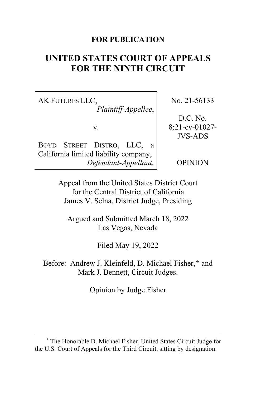### **FOR PUBLICATION**

# **UNITED STATES COURT OF APPEALS FOR THE NINTH CIRCUIT**

AK FUTURES LLC, *Plaintiff-Appellee*,

v.

BOYD STREET DISTRO, LLC, a California limited liability company, *Defendant-Appellant.*

No. 21-56133

D.C. No. 8:21-cv-01027- JVS-ADS

OPINION

Appeal from the United States District Court for the Central District of California James V. Selna, District Judge, Presiding

Argued and Submitted March 18, 2022 Las Vegas, Nevada

Filed May 19, 2022

Before: Andrew J. Kleinfeld, D. Michael Fisher,**[\\*](#page-0-0)** and Mark J. Bennett, Circuit Judges.

Opinion by Judge Fisher

<span id="page-0-0"></span>**<sup>\*</sup>** The Honorable D. Michael Fisher, United States Circuit Judge for the U.S. Court of Appeals for the Third Circuit, sitting by designation.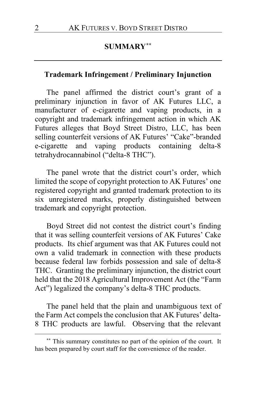## **SUMMARY[\\*\\*](#page-1-0)**

### **Trademark Infringement / Preliminary Injunction**

The panel affirmed the district court's grant of a preliminary injunction in favor of AK Futures LLC, a manufacturer of e-cigarette and vaping products, in a copyright and trademark infringement action in which AK Futures alleges that Boyd Street Distro, LLC, has been selling counterfeit versions of AK Futures' "Cake"-branded e-cigarette and vaping products containing delta-8 tetrahydrocannabinol ("delta-8 THC").

The panel wrote that the district court's order, which limited the scope of copyright protection to AK Futures' one registered copyright and granted trademark protection to its six unregistered marks, properly distinguished between trademark and copyright protection.

Boyd Street did not contest the district court's finding that it was selling counterfeit versions of AK Futures' Cake products. Its chief argument was that AK Futures could not own a valid trademark in connection with these products because federal law forbids possession and sale of delta-8 THC. Granting the preliminary injunction, the district court held that the 2018 Agricultural Improvement Act (the "Farm Act") legalized the company's delta-8 THC products.

The panel held that the plain and unambiguous text of the Farm Act compels the conclusion that AK Futures' delta-8 THC products are lawful. Observing that the relevant

<span id="page-1-0"></span>**<sup>\*\*</sup>** This summary constitutes no part of the opinion of the court. It has been prepared by court staff for the convenience of the reader.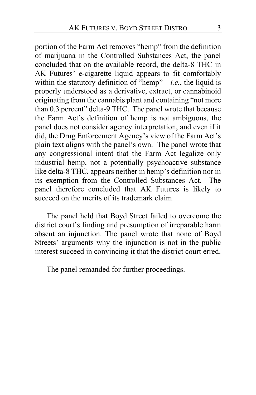portion of the Farm Act removes "hemp" from the definition of marijuana in the Controlled Substances Act, the panel concluded that on the available record, the delta-8 THC in AK Futures' e-cigarette liquid appears to fit comfortably within the statutory definition of "hemp"—*i.e.*, the liquid is properly understood as a derivative, extract, or cannabinoid originating from the cannabis plant and containing "not more than 0.3 percent" delta-9 THC. The panel wrote that because the Farm Act's definition of hemp is not ambiguous, the panel does not consider agency interpretation, and even if it did, the Drug Enforcement Agency's view of the Farm Act's plain text aligns with the panel's own. The panel wrote that any congressional intent that the Farm Act legalize only industrial hemp, not a potentially psychoactive substance like delta-8 THC, appears neither in hemp's definition nor in its exemption from the Controlled Substances Act. The panel therefore concluded that AK Futures is likely to succeed on the merits of its trademark claim.

The panel held that Boyd Street failed to overcome the district court's finding and presumption of irreparable harm absent an injunction. The panel wrote that none of Boyd Streets' arguments why the injunction is not in the public interest succeed in convincing it that the district court erred.

The panel remanded for further proceedings.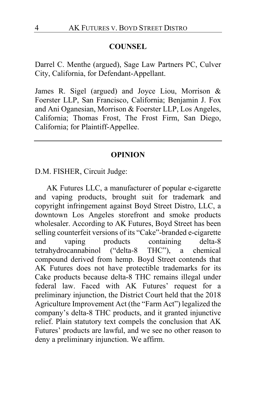#### **COUNSEL**

Darrel C. Menthe (argued), Sage Law Partners PC, Culver City, California, for Defendant-Appellant.

James R. Sigel (argued) and Joyce Liou, Morrison & Foerster LLP, San Francisco, California; Benjamin J. Fox and Ani Oganesian, Morrison & Foerster LLP, Los Angeles, California; Thomas Frost, The Frost Firm, San Diego, California; for Plaintiff-Appellee.

#### **OPINION**

D.M. FISHER, Circuit Judge:

AK Futures LLC, a manufacturer of popular e-cigarette and vaping products, brought suit for trademark and copyright infringement against Boyd Street Distro, LLC, a downtown Los Angeles storefront and smoke products wholesaler. According to AK Futures, Boyd Street has been selling counterfeit versions of its "Cake"-branded e-cigarette and vaping products containing delta-8 tetrahydrocannabinol ("delta-8 THC"), a chemical compound derived from hemp. Boyd Street contends that AK Futures does not have protectible trademarks for its Cake products because delta-8 THC remains illegal under federal law. Faced with AK Futures' request for a preliminary injunction, the District Court held that the 2018 Agriculture Improvement Act (the "Farm Act") legalized the company's delta-8 THC products, and it granted injunctive relief. Plain statutory text compels the conclusion that AK Futures' products are lawful, and we see no other reason to deny a preliminary injunction. We affirm.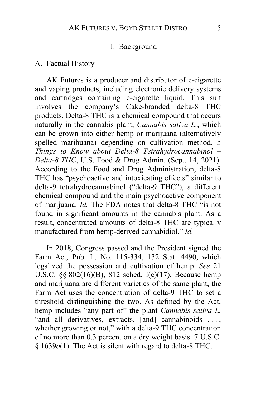### I. Background

#### A. Factual History

AK Futures is a producer and distributor of e-cigarette and vaping products, including electronic delivery systems and cartridges containing e-cigarette liquid. This suit involves the company's Cake-branded delta-8 THC products. Delta-8 THC is a chemical compound that occurs naturally in the cannabis plant, *Cannabis sativa L.*, which can be grown into either hemp or marijuana (alternatively spelled marihuana) depending on cultivation method*. 5 Things to Know about Delta-8 Tetrahydrocannabinol – Delta-8 THC*, U.S. Food & Drug Admin. (Sept. 14, 2021). According to the Food and Drug Administration, delta-8 THC has "psychoactive and intoxicating effects" similar to delta-9 tetrahydrocannabinol ("delta-9 THC"), a different chemical compound and the main psychoactive component of marijuana. *Id.* The FDA notes that delta-8 THC "is not found in significant amounts in the cannabis plant. As a result, concentrated amounts of delta-8 THC are typically manufactured from hemp-derived cannabidiol." *Id.*

In 2018, Congress passed and the President signed the Farm Act, Pub. L. No. 115-334, 132 Stat. 4490, which legalized the possession and cultivation of hemp. *See* 21 U.S.C. §§ 802(16)(B), 812 sched. I(c)(17)*.* Because hemp and marijuana are different varieties of the same plant, the Farm Act uses the concentration of delta-9 THC to set a threshold distinguishing the two. As defined by the Act, hemp includes "any part of" the plant *Cannabis sativa L.*  "and all derivatives, extracts, [and] cannabinoids ..., whether growing or not," with a delta-9 THC concentration of no more than 0.3 percent on a dry weight basis. 7 U.S.C. § 1639*o*(1). The Act is silent with regard to delta-8 THC.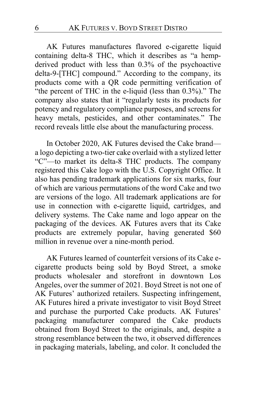AK Futures manufactures flavored e-cigarette liquid containing delta-8 THC, which it describes as "a hempderived product with less than 0.3% of the psychoactive delta-9-[THC] compound." According to the company, its products come with a QR code permitting verification of "the percent of THC in the e-liquid (less than 0.3%)." The company also states that it "regularly tests its products for potency and regulatory compliance purposes, and screens for heavy metals, pesticides, and other contaminates." The record reveals little else about the manufacturing process.

In October 2020, AK Futures devised the Cake brand a logo depicting a two-tier cake overlaid with a stylized letter "C"—to market its delta-8 THC products. The company registered this Cake logo with the U.S. Copyright Office. It also has pending trademark applications for six marks, four of which are various permutations of the word Cake and two are versions of the logo. All trademark applications are for use in connection with e-cigarette liquid, cartridges, and delivery systems. The Cake name and logo appear on the packaging of the devices. AK Futures avers that its Cake products are extremely popular, having generated \$60 million in revenue over a nine-month period.

AK Futures learned of counterfeit versions of its Cake ecigarette products being sold by Boyd Street, a smoke products wholesaler and storefront in downtown Los Angeles, over the summer of 2021. Boyd Street is not one of AK Futures' authorized retailers. Suspecting infringement, AK Futures hired a private investigator to visit Boyd Street and purchase the purported Cake products. AK Futures' packaging manufacturer compared the Cake products obtained from Boyd Street to the originals, and, despite a strong resemblance between the two, it observed differences in packaging materials, labeling, and color. It concluded the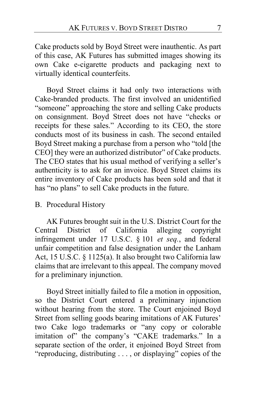Cake products sold by Boyd Street were inauthentic. As part of this case, AK Futures has submitted images showing its own Cake e-cigarette products and packaging next to virtually identical counterfeits.

Boyd Street claims it had only two interactions with Cake-branded products. The first involved an unidentified "someone" approaching the store and selling Cake products on consignment. Boyd Street does not have "checks or receipts for these sales." According to its CEO, the store conducts most of its business in cash. The second entailed Boyd Street making a purchase from a person who "told [the CEO] they were an authorized distributor" of Cake products. The CEO states that his usual method of verifying a seller's authenticity is to ask for an invoice. Boyd Street claims its entire inventory of Cake products has been sold and that it has "no plans" to sell Cake products in the future.

### B. Procedural History

AK Futures brought suit in the U.S. District Court for the Central District of California alleging copyright infringement under 17 U.S.C. § 101 *et seq.*, and federal unfair competition and false designation under the Lanham Act, 15 U.S.C. § 1125(a). It also brought two California law claims that are irrelevant to this appeal. The company moved for a preliminary injunction.

Boyd Street initially failed to file a motion in opposition, so the District Court entered a preliminary injunction without hearing from the store. The Court enjoined Boyd Street from selling goods bearing imitations of AK Futures' two Cake logo trademarks or "any copy or colorable imitation of" the company's "CAKE trademarks." In a separate section of the order, it enjoined Boyd Street from "reproducing, distributing . . . , or displaying" copies of the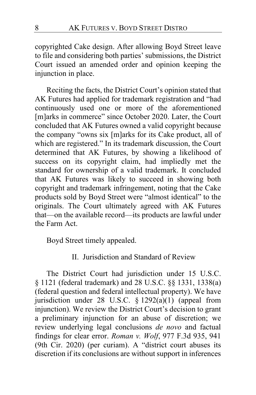copyrighted Cake design. After allowing Boyd Street leave to file and considering both parties' submissions, the District Court issued an amended order and opinion keeping the injunction in place.

Reciting the facts, the District Court's opinion stated that AK Futures had applied for trademark registration and "had continuously used one or more of the aforementioned [m]arks in commerce" since October 2020. Later, the Court concluded that AK Futures owned a valid copyright because the company "owns six [m]arks for its Cake product, all of which are registered." In its trademark discussion, the Court determined that AK Futures, by showing a likelihood of success on its copyright claim, had impliedly met the standard for ownership of a valid trademark. It concluded that AK Futures was likely to succeed in showing both copyright and trademark infringement, noting that the Cake products sold by Boyd Street were "almost identical" to the originals. The Court ultimately agreed with AK Futures that—on the available record—its products are lawful under the Farm Act.

Boyd Street timely appealed.

II. Jurisdiction and Standard of Review

The District Court had jurisdiction under 15 U.S.C. § 1121 (federal trademark) and 28 U.S.C. §§ 1331, 1338(a) (federal question and federal intellectual property). We have jurisdiction under 28 U.S.C. § 1292(a)(1) (appeal from injunction). We review the District Court's decision to grant a preliminary injunction for an abuse of discretion; we review underlying legal conclusions *de novo* and factual findings for clear error. *Roman v. Wolf*, 977 F.3d 935, 941 (9th Cir. 2020) (per curiam). A "district court abuses its discretion if its conclusions are without support in inferences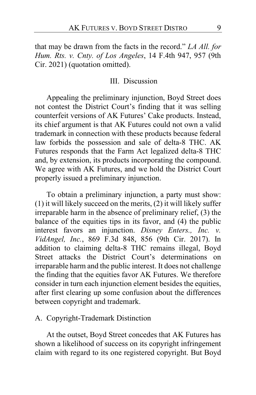that may be drawn from the facts in the record." *LA All. for Hum. Rts. v. Cnty. of Los Angeles*, 14 F.4th 947, 957 (9th Cir. 2021) (quotation omitted).

#### III. Discussion

Appealing the preliminary injunction, Boyd Street does not contest the District Court's finding that it was selling counterfeit versions of AK Futures' Cake products. Instead, its chief argument is that AK Futures could not own a valid trademark in connection with these products because federal law forbids the possession and sale of delta-8 THC. AK Futures responds that the Farm Act legalized delta-8 THC and, by extension, its products incorporating the compound. We agree with AK Futures, and we hold the District Court properly issued a preliminary injunction.

To obtain a preliminary injunction, a party must show: (1) it will likely succeed on the merits, (2) it will likely suffer irreparable harm in the absence of preliminary relief, (3) the balance of the equities tips in its favor, and (4) the public interest favors an injunction. *Disney Enters., Inc. v. VidAngel, Inc.*, 869 F.3d 848, 856 (9th Cir. 2017). In addition to claiming delta-8 THC remains illegal, Boyd Street attacks the District Court's determinations on irreparable harm and the public interest. It does not challenge the finding that the equities favor AK Futures. We therefore consider in turn each injunction element besides the equities, after first clearing up some confusion about the differences between copyright and trademark.

#### A. Copyright-Trademark Distinction

At the outset, Boyd Street concedes that AK Futures has shown a likelihood of success on its copyright infringement claim with regard to its one registered copyright. But Boyd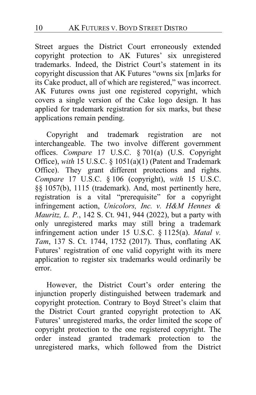Street argues the District Court erroneously extended copyright protection to AK Futures' six unregistered trademarks. Indeed, the District Court's statement in its copyright discussion that AK Futures "owns six [m]arks for its Cake product, all of which are registered," was incorrect. AK Futures owns just one registered copyright, which covers a single version of the Cake logo design. It has applied for trademark registration for six marks, but these applications remain pending.

Copyright and trademark registration are not interchangeable. The two involve different government offices. *Compare* 17 U.S.C. § 701(a) (U.S. Copyright Office), *with* 15 U.S.C. § 1051(a)(1) (Patent and Trademark Office). They grant different protections and rights. *Compare* 17 U.S.C. § 106 (copyright), *with* 15 U.S.C. §§ 1057(b), 1115 (trademark). And, most pertinently here, registration is a vital "prerequisite" for a copyright infringement action, *Unicolors, Inc. v. H&M Hennes & Mauritz, L. P.*, 142 S. Ct. 941, 944 (2022), but a party with only unregistered marks may still bring a trademark infringement action under 15 U.S.C. § 1125(a). *Matal v. Tam*, 137 S. Ct. 1744, 1752 (2017). Thus, conflating AK Futures' registration of one valid copyright with its mere application to register six trademarks would ordinarily be error.

However, the District Court's order entering the injunction properly distinguished between trademark and copyright protection. Contrary to Boyd Street's claim that the District Court granted copyright protection to AK Futures' unregistered marks, the order limited the scope of copyright protection to the one registered copyright. The order instead granted trademark protection to the unregistered marks, which followed from the District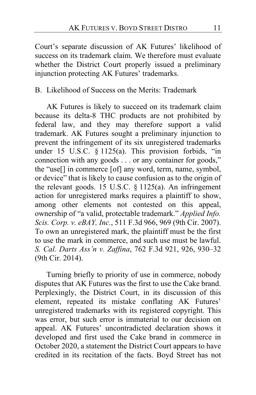Court's separate discussion of AK Futures' likelihood of success on its trademark claim. We therefore must evaluate whether the District Court properly issued a preliminary injunction protecting AK Futures' trademarks.

B. Likelihood of Success on the Merits: Trademark

AK Futures is likely to succeed on its trademark claim because its delta-8 THC products are not prohibited by federal law, and they may therefore support a valid trademark. AK Futures sought a preliminary injunction to prevent the infringement of its six unregistered trademarks under 15 U.S.C. § 1125(a). This provision forbids, "in connection with any goods . . . or any container for goods," the "use[] in commerce [of] any word, term, name, symbol, or device" that is likely to cause confusion as to the origin of the relevant goods. 15 U.S.C. § 1125(a). An infringement action for unregistered marks requires a plaintiff to show, among other elements not contested on this appeal, ownership of "a valid, protectable trademark." *Applied Info. Scis. Corp. v. eBAY, Inc.*, 511 F.3d 966, 969 (9th Cir. 2007). To own an unregistered mark, the plaintiff must be the first to use the mark in commerce, and such use must be lawful. *S. Cal. Darts Ass'n v. Zaffina*, 762 F.3d 921, 926, 930–32 (9th Cir. 2014).

Turning briefly to priority of use in commerce, nobody disputes that AK Futures was the first to use the Cake brand. Perplexingly, the District Court, in its discussion of this element, repeated its mistake conflating AK Futures' unregistered trademarks with its registered copyright. This was error, but such error is immaterial to our decision on appeal. AK Futures' uncontradicted declaration shows it developed and first used the Cake brand in commerce in October 2020, a statement the District Court appears to have credited in its recitation of the facts. Boyd Street has not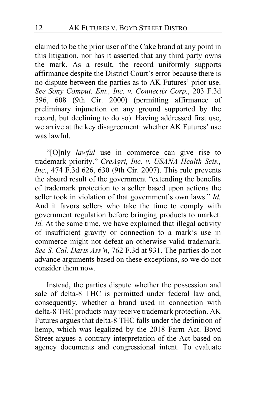claimed to be the prior user of the Cake brand at any point in this litigation, nor has it asserted that any third party owns the mark. As a result, the record uniformly supports affirmance despite the District Court's error because there is no dispute between the parties as to AK Futures' prior use. *See Sony Comput. Ent., Inc. v. Connectix Corp.*, 203 F.3d 596, 608 (9th Cir. 2000) (permitting affirmance of preliminary injunction on any ground supported by the record, but declining to do so). Having addressed first use, we arrive at the key disagreement: whether AK Futures' use was lawful.

"[O]nly *lawful* use in commerce can give rise to trademark priority." *CreAgri, Inc. v. USANA Health Scis., Inc.*, 474 F.3d 626, 630 (9th Cir. 2007). This rule prevents the absurd result of the government "extending the benefits of trademark protection to a seller based upon actions the seller took in violation of that government's own laws." *Id.* And it favors sellers who take the time to comply with government regulation before bringing products to market. *Id.* At the same time, we have explained that illegal activity of insufficient gravity or connection to a mark's use in commerce might not defeat an otherwise valid trademark. *See S. Cal. Darts Ass'n*, 762 F.3d at 931. The parties do not advance arguments based on these exceptions, so we do not consider them now.

Instead, the parties dispute whether the possession and sale of delta-8 THC is permitted under federal law and, consequently, whether a brand used in connection with delta-8 THC products may receive trademark protection. AK Futures argues that delta-8 THC falls under the definition of hemp, which was legalized by the 2018 Farm Act. Boyd Street argues a contrary interpretation of the Act based on agency documents and congressional intent. To evaluate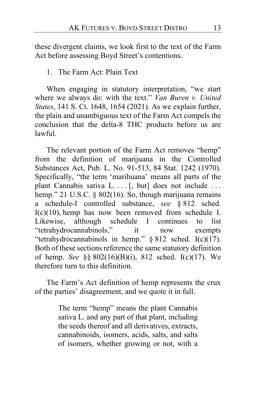these divergent claims, we look first to the text of the Farm Act before assessing Boyd Street's contentions.

1. The Farm Act: Plain Text

When engaging in statutory interpretation, "we start where we always do: with the text." *Van Buren v. United States*, 141 S. Ct. 1648, 1654 (2021). As we explain further, the plain and unambiguous text of the Farm Act compels the conclusion that the delta-8 THC products before us are lawful.

The relevant portion of the Farm Act removes "hemp" from the definition of marijuana in the Controlled Substances Act, Pub. L. No. 91-513, 84 Stat. 1242 (1970). Specifically, "the term 'marihuana' means all parts of the plant Cannabis sativa L.... [, but] does not include ... hemp." 21 U.S.C. § 802(16). So, though marijuana remains a schedule-I controlled substance, *see* § 812 sched. I(c)(10), hemp has now been removed from schedule I. Likewise, although schedule I continues to list "tetrahydrocannabinols," it now exempts "tetrahydrocannabinols in hemp." § 812 sched. I(c)(17). Both of these sections reference the same statutory definition of hemp. *See* §§ 802(16)(B)(i), 812 sched. I(c)(17). We therefore turn to this definition.

The Farm's Act definition of hemp represents the crux of the parties' disagreement, and we quote it in full.

> The term "hemp" means the plant Cannabis sativa L. and any part of that plant, including the seeds thereof and all derivatives, extracts, cannabinoids, isomers, acids, salts, and salts of isomers, whether growing or not, with a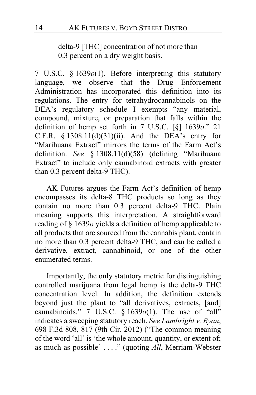delta-9 [THC] concentration of not more than 0.3 percent on a dry weight basis.

7 U.S.C. § 1639*o*(1). Before interpreting this statutory language, we observe that the Drug Enforcement Administration has incorporated this definition into its regulations. The entry for tetrahydrocannabinols on the DEA's regulatory schedule I exempts "any material, compound, mixture, or preparation that falls within the definition of hemp set forth in 7 U.S.C. [§] 1639*o*." 21 C.F.R.  $§$  1308.11(d)(31)(ii). And the DEA's entry for "Marihuana Extract" mirrors the terms of the Farm Act's definition. *See* § 1308.11(d)(58) (defining "Marihuana Extract" to include only cannabinoid extracts with greater than 0.3 percent delta-9 THC).

AK Futures argues the Farm Act's definition of hemp encompasses its delta-8 THC products so long as they contain no more than 0.3 percent delta-9 THC. Plain meaning supports this interpretation. A straightforward reading of § 1639*o* yields a definition of hemp applicable to all products that are sourced from the cannabis plant, contain no more than 0.3 percent delta-9 THC, and can be called a derivative, extract, cannabinoid, or one of the other enumerated terms.

Importantly, the only statutory metric for distinguishing controlled marijuana from legal hemp is the delta-9 THC concentration level. In addition, the definition extends beyond just the plant to "all derivatives, extracts, [and] cannabinoids." 7 U.S.C. § 1639*o*(1). The use of "all" indicates a sweeping statutory reach. *See Lambright v. Ryan*, 698 F.3d 808, 817 (9th Cir. 2012) ("The common meaning of the word 'all' is 'the whole amount, quantity, or extent of; as much as possible' . . . ." (quoting *All*, Merriam-Webster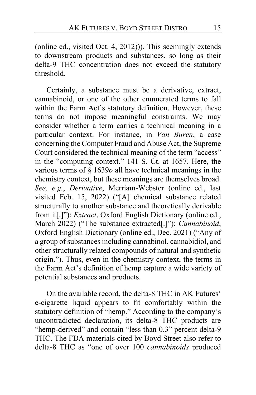(online ed., visited Oct. 4, 2012))). This seemingly extends to downstream products and substances, so long as their delta-9 THC concentration does not exceed the statutory threshold.

Certainly, a substance must be a derivative, extract, cannabinoid, or one of the other enumerated terms to fall within the Farm Act's statutory definition. However, these terms do not impose meaningful constraints. We may consider whether a term carries a technical meaning in a particular context. For instance, in *Van Buren*, a case concerning the Computer Fraud and Abuse Act, the Supreme Court considered the technical meaning of the term "access" in the "computing context." 141 S. Ct. at 1657. Here, the various terms of § 1639*o* all have technical meanings in the chemistry context, but these meanings are themselves broad. *See, e.g.*, *Derivative*, Merriam-Webster (online ed., last visited Feb. 15, 2022) ("[A] chemical substance related structurally to another substance and theoretically derivable from it[.]"); *Extract*, Oxford English Dictionary (online ed., March 2022) ("The substance extracted[.]"); *Cannabinoid*, Oxford English Dictionary (online ed., Dec. 2021) ("Any of a group of substances including cannabinol, cannabidiol, and other structurally related compounds of natural and synthetic origin."). Thus, even in the chemistry context, the terms in the Farm Act's definition of hemp capture a wide variety of potential substances and products.

On the available record, the delta-8 THC in AK Futures' e-cigarette liquid appears to fit comfortably within the statutory definition of "hemp." According to the company's uncontradicted declaration, its delta-8 THC products are "hemp-derived" and contain "less than 0.3" percent delta-9 THC. The FDA materials cited by Boyd Street also refer to delta-8 THC as "one of over 100 *cannabinoids* produced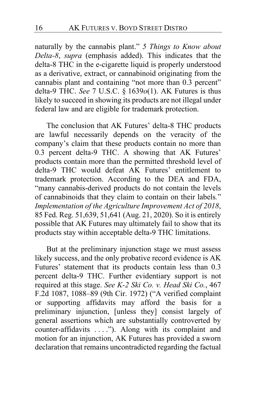naturally by the cannabis plant." *5 Things to Know about Delta-8*, *supra* (emphasis added). This indicates that the delta-8 THC in the e-cigarette liquid is properly understood as a derivative, extract, or cannabinoid originating from the cannabis plant and containing "not more than 0.3 percent" delta-9 THC. *See* 7 U.S.C. § 1639*o*(1). AK Futures is thus likely to succeed in showing its products are not illegal under federal law and are eligible for trademark protection.

The conclusion that AK Futures' delta-8 THC products are lawful necessarily depends on the veracity of the company's claim that these products contain no more than 0.3 percent delta-9 THC. A showing that AK Futures' products contain more than the permitted threshold level of delta-9 THC would defeat AK Futures' entitlement to trademark protection. According to the DEA and FDA, "many cannabis-derived products do not contain the levels of cannabinoids that they claim to contain on their labels*.*" *Implementation of the Agriculture Improvement Act of 2018*, 85 Fed. Reg. 51,639, 51,641 (Aug. 21, 2020). So it is entirely possible that AK Futures may ultimately fail to show that its products stay within acceptable delta-9 THC limitations.

But at the preliminary injunction stage we must assess likely success, and the only probative record evidence is AK Futures' statement that its products contain less than 0.3 percent delta-9 THC. Further evidentiary support is not required at this stage. *See K-2 Ski Co. v. Head Ski Co.*, 467 F.2d 1087, 1088–89 (9th Cir. 1972) ("A verified complaint or supporting affidavits may afford the basis for a preliminary injunction, [unless they] consist largely of general assertions which are substantially controverted by counter-affidavits . . . ."). Along with its complaint and motion for an injunction, AK Futures has provided a sworn declaration that remains uncontradicted regarding the factual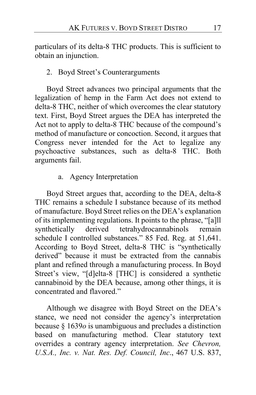particulars of its delta-8 THC products. This is sufficient to obtain an injunction.

## 2. Boyd Street's Counterarguments

Boyd Street advances two principal arguments that the legalization of hemp in the Farm Act does not extend to delta-8 THC, neither of which overcomes the clear statutory text. First, Boyd Street argues the DEA has interpreted the Act not to apply to delta-8 THC because of the compound's method of manufacture or concoction. Second, it argues that Congress never intended for the Act to legalize any psychoactive substances, such as delta-8 THC. Both arguments fail.

# a. Agency Interpretation

Boyd Street argues that, according to the DEA, delta-8 THC remains a schedule I substance because of its method of manufacture. Boyd Street relies on the DEA's explanation of its implementing regulations. It points to the phrase, "[a]ll synthetically derived tetrahydrocannabinols remain schedule I controlled substances." 85 Fed. Reg. at 51,641. According to Boyd Street, delta-8 THC is "synthetically derived" because it must be extracted from the cannabis plant and refined through a manufacturing process. In Boyd Street's view, "[d]elta-8 [THC] is considered a synthetic cannabinoid by the DEA because, among other things, it is concentrated and flavored."

Although we disagree with Boyd Street on the DEA's stance, we need not consider the agency's interpretation because § 1639*o* is unambiguous and precludes a distinction based on manufacturing method. Clear statutory text overrides a contrary agency interpretation. *See Chevron, U.S.A., Inc. v. Nat. Res. Def. Council, Inc*., 467 U.S. 837,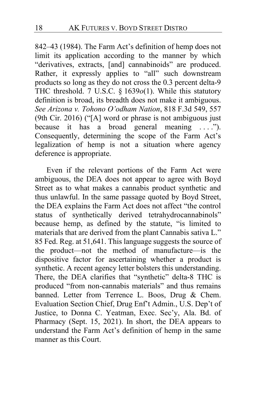842–43 (1984). The Farm Act's definition of hemp does not limit its application according to the manner by which "derivatives, extracts, [and] cannabinoids" are produced. Rather, it expressly applies to "all" such downstream products so long as they do not cross the 0.3 percent delta-9 THC threshold. 7 U.S.C. § 1639*o*(1). While this statutory definition is broad, its breadth does not make it ambiguous. *See Arizona v. Tohono O'odham Nation*, 818 F.3d 549, 557 (9th Cir. 2016) ("[A] word or phrase is not ambiguous just because it has a broad general meaning ...."). Consequently, determining the scope of the Farm Act's legalization of hemp is not a situation where agency deference is appropriate.

Even if the relevant portions of the Farm Act were ambiguous, the DEA does not appear to agree with Boyd Street as to what makes a cannabis product synthetic and thus unlawful. In the same passage quoted by Boyd Street, the DEA explains the Farm Act does not affect "the control status of synthetically derived tetrahydrocannabinols" because hemp, as defined by the statute, "is limited to materials that are derived from the plant Cannabis sativa L." 85 Fed. Reg. at 51,641. This language suggests the source of the product—not the method of manufacture—is the dispositive factor for ascertaining whether a product is synthetic. A recent agency letter bolsters this understanding. There, the DEA clarifies that "synthetic" delta-8 THC is produced "from non-cannabis materials" and thus remains banned. Letter from Terrence L. Boos, Drug & Chem. Evaluation Section Chief, Drug Enf't Admin., U.S. Dep't of Justice, to Donna C. Yeatman, Exec. Sec'y, Ala. Bd. of Pharmacy (Sept. 15, 2021). In short, the DEA appears to understand the Farm Act's definition of hemp in the same manner as this Court.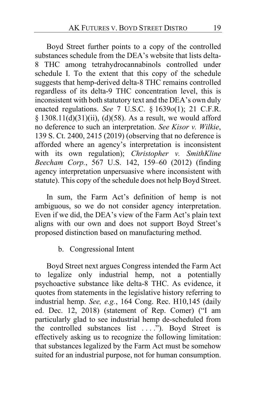Boyd Street further points to a copy of the controlled substances schedule from the DEA's website that lists delta-8 THC among tetrahydrocannabinols controlled under schedule I. To the extent that this copy of the schedule suggests that hemp-derived delta-8 THC remains controlled regardless of its delta-9 THC concentration level, this is inconsistent with both statutory text and the DEA's own duly enacted regulations. *See* 7 U.S.C. § 1639*o*(1); 21 C.F.R.  $§$  1308.11(d)(31)(ii), (d)(58). As a result, we would afford no deference to such an interpretation. *See Kisor v. Wilkie*, 139 S. Ct. 2400, 2415 (2019) (observing that no deference is afforded where an agency's interpretation is inconsistent with its own regulation); *Christopher v. SmithKline Beecham Corp.*, 567 U.S. 142, 159–60 (2012) (finding agency interpretation unpersuasive where inconsistent with statute). This copy of the schedule does not help Boyd Street.

In sum, the Farm Act's definition of hemp is not ambiguous, so we do not consider agency interpretation. Even if we did, the DEA's view of the Farm Act's plain text aligns with our own and does not support Boyd Street's proposed distinction based on manufacturing method.

### b. Congressional Intent

Boyd Street next argues Congress intended the Farm Act to legalize only industrial hemp, not a potentially psychoactive substance like delta-8 THC. As evidence, it quotes from statements in the legislative history referring to industrial hemp. *See, e.g.*, 164 Cong. Rec. H10,145 (daily ed. Dec. 12, 2018) (statement of Rep. Comer) ("I am particularly glad to see industrial hemp de-scheduled from the controlled substances list . . . ."). Boyd Street is effectively asking us to recognize the following limitation: that substances legalized by the Farm Act must be somehow suited for an industrial purpose, not for human consumption.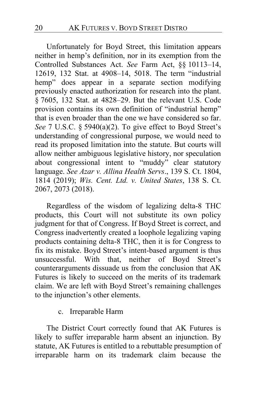Unfortunately for Boyd Street, this limitation appears neither in hemp's definition, nor in its exemption from the Controlled Substances Act. *See* Farm Act, §§ 10113–14, 12619, 132 Stat. at 4908–14, 5018. The term "industrial hemp" does appear in a separate section modifying previously enacted authorization for research into the plant. § 7605, 132 Stat. at 4828–29. But the relevant U.S. Code provision contains its own definition of "industrial hemp" that is even broader than the one we have considered so far. *See* 7 U.S.C. § 5940(a)(2). To give effect to Boyd Street's understanding of congressional purpose, we would need to read its proposed limitation into the statute. But courts will allow neither ambiguous legislative history, nor speculation about congressional intent to "muddy" clear statutory language. *See Azar v. Allina Health Servs*., 139 S. Ct. 1804, 1814 (2019); *Wis. Cent. Ltd. v. United States*, 138 S. Ct. 2067, 2073 (2018).

Regardless of the wisdom of legalizing delta-8 THC products, this Court will not substitute its own policy judgment for that of Congress. If Boyd Street is correct, and Congress inadvertently created a loophole legalizing vaping products containing delta-8 THC, then it is for Congress to fix its mistake. Boyd Street's intent-based argument is thus unsuccessful. With that, neither of Boyd Street's counterarguments dissuade us from the conclusion that AK Futures is likely to succeed on the merits of its trademark claim. We are left with Boyd Street's remaining challenges to the injunction's other elements.

#### c. Irreparable Harm

The District Court correctly found that AK Futures is likely to suffer irreparable harm absent an injunction. By statute, AK Futures is entitled to a rebuttable presumption of irreparable harm on its trademark claim because the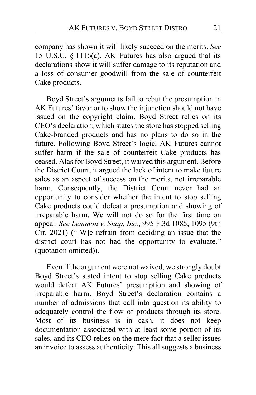company has shown it will likely succeed on the merits. *See* 15 U.S.C. § 1116(a). AK Futures has also argued that its declarations show it will suffer damage to its reputation and a loss of consumer goodwill from the sale of counterfeit Cake products.

Boyd Street's arguments fail to rebut the presumption in AK Futures' favor or to show the injunction should not have issued on the copyright claim. Boyd Street relies on its CEO's declaration, which states the store has stopped selling Cake-branded products and has no plans to do so in the future. Following Boyd Street's logic, AK Futures cannot suffer harm if the sale of counterfeit Cake products has ceased. Alas for Boyd Street, it waived this argument. Before the District Court, it argued the lack of intent to make future sales as an aspect of success on the merits, not irreparable harm. Consequently, the District Court never had an opportunity to consider whether the intent to stop selling Cake products could defeat a presumption and showing of irreparable harm. We will not do so for the first time on appeal. *See Lemmon v. Snap, Inc.*, 995 F.3d 1085, 1095 (9th Cir. 2021) ("[W]e refrain from deciding an issue that the district court has not had the opportunity to evaluate." (quotation omitted)).

Even if the argument were not waived, we strongly doubt Boyd Street's stated intent to stop selling Cake products would defeat AK Futures' presumption and showing of irreparable harm. Boyd Street's declaration contains a number of admissions that call into question its ability to adequately control the flow of products through its store. Most of its business is in cash, it does not keep documentation associated with at least some portion of its sales, and its CEO relies on the mere fact that a seller issues an invoice to assess authenticity. This all suggests a business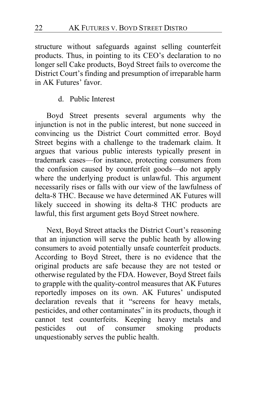structure without safeguards against selling counterfeit products. Thus, in pointing to its CEO's declaration to no longer sell Cake products, Boyd Street fails to overcome the District Court's finding and presumption of irreparable harm in AK Futures' favor.

#### d. Public Interest

Boyd Street presents several arguments why the injunction is not in the public interest, but none succeed in convincing us the District Court committed error. Boyd Street begins with a challenge to the trademark claim. It argues that various public interests typically present in trademark cases—for instance, protecting consumers from the confusion caused by counterfeit goods—do not apply where the underlying product is unlawful. This argument necessarily rises or falls with our view of the lawfulness of delta-8 THC. Because we have determined AK Futures will likely succeed in showing its delta-8 THC products are lawful, this first argument gets Boyd Street nowhere.

Next, Boyd Street attacks the District Court's reasoning that an injunction will serve the public heath by allowing consumers to avoid potentially unsafe counterfeit products. According to Boyd Street, there is no evidence that the original products are safe because they are not tested or otherwise regulated by the FDA. However, Boyd Street fails to grapple with the quality-control measures that AK Futures reportedly imposes on its own. AK Futures' undisputed declaration reveals that it "screens for heavy metals, pesticides, and other contaminates" in its products, though it cannot test counterfeits. Keeping heavy metals and pesticides out of consumer smoking products unquestionably serves the public health.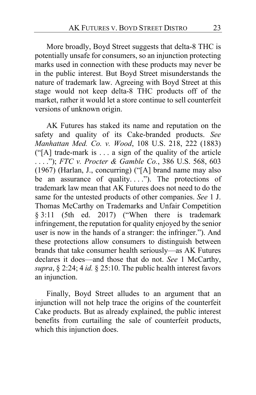More broadly, Boyd Street suggests that delta-8 THC is potentially unsafe for consumers, so an injunction protecting marks used in connection with these products may never be in the public interest. But Boyd Street misunderstands the nature of trademark law. Agreeing with Boyd Street at this stage would not keep delta-8 THC products off of the market, rather it would let a store continue to sell counterfeit versions of unknown origin.

AK Futures has staked its name and reputation on the safety and quality of its Cake-branded products. *See Manhattan Med. Co. v. Wood*, 108 U.S. 218, 222 (1883) ("[A] trade-mark is . . . a sign of the quality of the article . . . ."); *FTC v. Procter & Gamble Co.*, 386 U.S. 568, 603 (1967) (Harlan, J., concurring) ("[A] brand name may also be an assurance of quality...."). The protections of trademark law mean that AK Futures does not need to do the same for the untested products of other companies. *See* 1 J. Thomas McCarthy on Trademarks and Unfair Competition § 3:11 (5th ed. 2017) ("When there is trademark infringement, the reputation for quality enjoyed by the senior user is now in the hands of a stranger: the infringer."). And these protections allow consumers to distinguish between brands that take consumer health seriously—as AK Futures declares it does—and those that do not. *See* 1 McCarthy, *supra*, § 2:24; 4 *id.* § 25:10. The public health interest favors an injunction.

Finally, Boyd Street alludes to an argument that an injunction will not help trace the origins of the counterfeit Cake products. But as already explained, the public interest benefits from curtailing the sale of counterfeit products, which this injunction does.